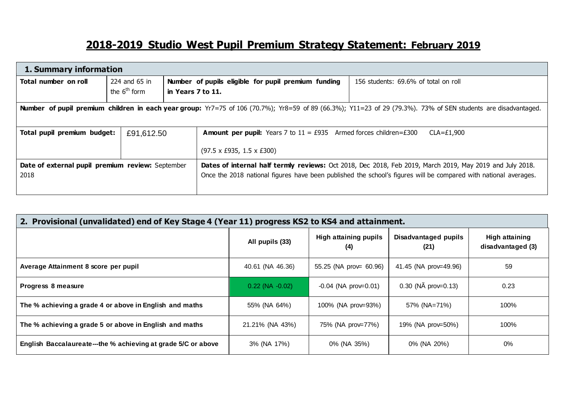## **2018-2019 Studio West Pupil Premium Strategy Statement: February 2019**

| 1. Summary information                                   |                                 |                   |                                                                                              |                                                                                                                                                                                                                              |  |  |
|----------------------------------------------------------|---------------------------------|-------------------|----------------------------------------------------------------------------------------------|------------------------------------------------------------------------------------------------------------------------------------------------------------------------------------------------------------------------------|--|--|
| Total number on roll                                     | 224 and 65 in<br>the $6th$ form |                   | Number of pupils eligible for pupil premium funding                                          | 156 students: 69.6% of total on roll                                                                                                                                                                                         |  |  |
|                                                          |                                 | in Years 7 to 11. |                                                                                              |                                                                                                                                                                                                                              |  |  |
|                                                          |                                 |                   |                                                                                              | <b>Number of pupil premium children in each year group:</b> Yr7=75 of 106 (70.7%); Yr8=59 of 89 (66.3%); Y11=23 of 29 (79.3%). 73% of SEN students are disadvantaged.                                                        |  |  |
|                                                          |                                 |                   |                                                                                              |                                                                                                                                                                                                                              |  |  |
| Total pupil premium budget:                              | £91,612.50                      |                   | <b>Amount per pupil:</b> Years 7 to $11 = £935$ Armed forces children=£300<br>$CLA = £1,900$ |                                                                                                                                                                                                                              |  |  |
|                                                          |                                 |                   | $(97.5 \times £935, 1.5 \times £300)$                                                        |                                                                                                                                                                                                                              |  |  |
| Date of external pupil premium review: September<br>2018 |                                 |                   |                                                                                              | Dates of internal half termly reviews: Oct 2018, Dec 2018, Feb 2019, March 2019, May 2019 and July 2018.<br>Once the 2018 national figures have been published the school's figures will be compared with national averages. |  |  |

| 2. Provisional (unvalidated) end of Key Stage 4 (Year 11) progress KS2 to KS4 and attainment. |                      |                                     |                                  |                                            |  |  |
|-----------------------------------------------------------------------------------------------|----------------------|-------------------------------------|----------------------------------|--------------------------------------------|--|--|
|                                                                                               | All pupils (33)      | <b>High attaining pupils</b><br>(4) | Disadvantaged pupils<br>(21)     | <b>High attaining</b><br>disadvantaged (3) |  |  |
| Average Attainment 8 score per pupil                                                          | 40.61 (NA 46.36)     | 55.25 (NA prov= 60.96)              | 41.45 (NA prov=49.96)            | 59                                         |  |  |
| Progress 8 measure                                                                            | $0.22$ (NA $-0.02$ ) | $-0.04$ (NA prov=0.01)              | $0.30$ (N $\tilde{A}$ prov=0.13) | 0.23                                       |  |  |
| The % achieving a grade 4 or above in English and maths                                       | 55% (NA 64%)         | 100% (NA prov=93%)                  | 57% (NA=71%)                     | 100%                                       |  |  |
| The % achieving a grade 5 or above in English and maths                                       | 21.21% (NA 43%)      | 75% (NA prov=77%)                   | 19% (NA prov=50%)                | 100%                                       |  |  |
| English Baccalaureate—the % achieving at grade 5/C or above                                   | 3% (NA 17%)          | 0% (NA 35%)                         | 0% (NA 20%)                      | 0%                                         |  |  |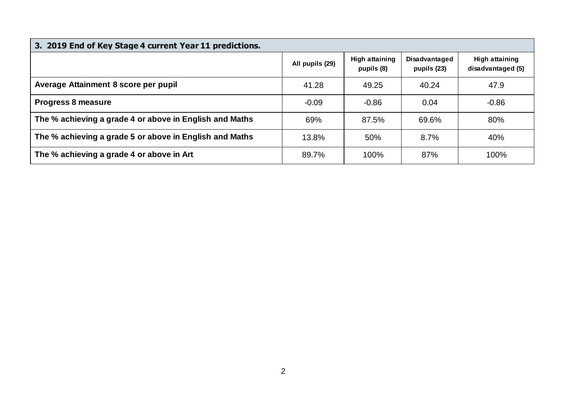| 3. 2019 End of Key Stage 4 current Year 11 predictions. |                 |                                     |                              |                                            |  |  |  |
|---------------------------------------------------------|-----------------|-------------------------------------|------------------------------|--------------------------------------------|--|--|--|
|                                                         | All pupils (29) | <b>High attaining</b><br>pupils (8) | Disadvantaged<br>pupils (23) | <b>High attaining</b><br>disadvantaged (5) |  |  |  |
| Average Attainment 8 score per pupil                    | 41.28           | 49.25                               | 40.24                        | 47.9                                       |  |  |  |
| <b>Progress 8 measure</b>                               | $-0.09$         | $-0.86$                             | 0.04                         | $-0.86$                                    |  |  |  |
| The % achieving a grade 4 or above in English and Maths | 69%             | 87.5%                               | 69.6%                        | 80%                                        |  |  |  |
| The % achieving a grade 5 or above in English and Maths | 13.8%           | 50%                                 | 8.7%                         | 40%                                        |  |  |  |
| The % achieving a grade 4 or above in Art               | 89.7%           | 100%                                | 87%                          | 100%                                       |  |  |  |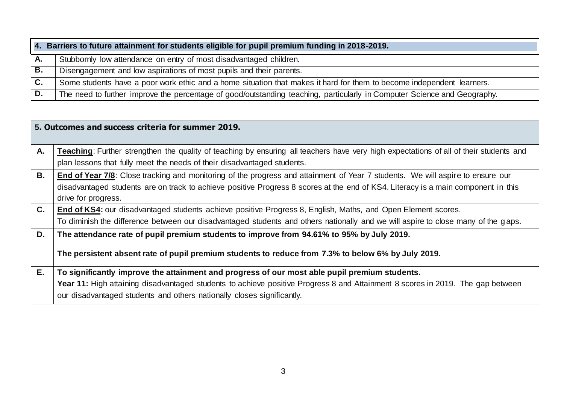|    | 4. Barriers to future attainment for students eligible for pupil premium funding in 2018-2019.                           |  |  |  |  |  |
|----|--------------------------------------------------------------------------------------------------------------------------|--|--|--|--|--|
| А. | Stubbornly low attendance on entry of most disadvantaged children.                                                       |  |  |  |  |  |
| В. | Disengagement and low aspirations of most pupils and their parents.                                                      |  |  |  |  |  |
| C. | Some students have a poor work ethic and a home situation that makes it hard for them to become independent learners.    |  |  |  |  |  |
| D. | The need to further improve the percentage of good/outstanding teaching, particularly in Computer Science and Geography. |  |  |  |  |  |

|                | 5. Outcomes and success criteria for summer 2019.                                                                                                                                                                                                                                                         |
|----------------|-----------------------------------------------------------------------------------------------------------------------------------------------------------------------------------------------------------------------------------------------------------------------------------------------------------|
| А.             | Teaching: Further strengthen the quality of teaching by ensuring all teachers have very high expectations of all of their students and<br>plan lessons that fully meet the needs of their disadvantaged students.                                                                                         |
| В.             | End of Year 7/8: Close tracking and monitoring of the progress and attainment of Year 7 students. We will aspire to ensure our<br>disadvantaged students are on track to achieve positive Progress 8 scores at the end of KS4. Literacy is a main component in this<br>drive for progress.                |
| $\mathbf{C}$ . | End of KS4: our disadvantaged students achieve positive Progress 8, English, Maths, and Open Element scores.<br>To diminish the difference between our disadvantaged students and others nationally and we will aspire to close many of the gaps.                                                         |
| D.             | The attendance rate of pupil premium students to improve from 94.61% to 95% by July 2019.<br>The persistent absent rate of pupil premium students to reduce from 7.3% to below 6% by July 2019.                                                                                                           |
| E.             | To significantly improve the attainment and progress of our most able pupil premium students.<br>Year 11: High attaining disadvantaged students to achieve positive Progress 8 and Attainment 8 scores in 2019. The gap between<br>our disadvantaged students and others nationally closes significantly. |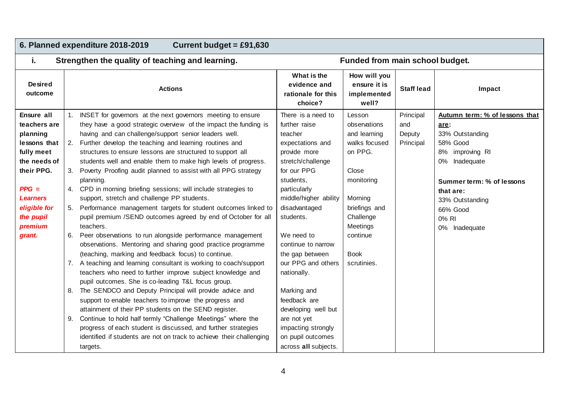| 6. Planned expenditure 2018-2019<br>Current budget = $£91,630$                                                                                                                     |                                                                                                                                                                                                                                                                                                                                                                                                                                                                                                                                                                                                                                                                                                                                                                                                                                                                                                                                                                                                                                                                                                                                                                                                                                                                                                                                                                                                                                                                                                                              |                                                                                                                                                                                                                                                                                                                                                                                                                        |                                                                                                                                                                                          |                                         |                                                                                                                                                                                                              |  |
|------------------------------------------------------------------------------------------------------------------------------------------------------------------------------------|------------------------------------------------------------------------------------------------------------------------------------------------------------------------------------------------------------------------------------------------------------------------------------------------------------------------------------------------------------------------------------------------------------------------------------------------------------------------------------------------------------------------------------------------------------------------------------------------------------------------------------------------------------------------------------------------------------------------------------------------------------------------------------------------------------------------------------------------------------------------------------------------------------------------------------------------------------------------------------------------------------------------------------------------------------------------------------------------------------------------------------------------------------------------------------------------------------------------------------------------------------------------------------------------------------------------------------------------------------------------------------------------------------------------------------------------------------------------------------------------------------------------------|------------------------------------------------------------------------------------------------------------------------------------------------------------------------------------------------------------------------------------------------------------------------------------------------------------------------------------------------------------------------------------------------------------------------|------------------------------------------------------------------------------------------------------------------------------------------------------------------------------------------|-----------------------------------------|--------------------------------------------------------------------------------------------------------------------------------------------------------------------------------------------------------------|--|
| j.                                                                                                                                                                                 | Strengthen the quality of teaching and learning.                                                                                                                                                                                                                                                                                                                                                                                                                                                                                                                                                                                                                                                                                                                                                                                                                                                                                                                                                                                                                                                                                                                                                                                                                                                                                                                                                                                                                                                                             | Funded from main school budget.                                                                                                                                                                                                                                                                                                                                                                                        |                                                                                                                                                                                          |                                         |                                                                                                                                                                                                              |  |
| <b>Desired</b><br>outcome                                                                                                                                                          | <b>Actions</b>                                                                                                                                                                                                                                                                                                                                                                                                                                                                                                                                                                                                                                                                                                                                                                                                                                                                                                                                                                                                                                                                                                                                                                                                                                                                                                                                                                                                                                                                                                               | What is the<br>evidence and<br>rationale for this<br>choice?                                                                                                                                                                                                                                                                                                                                                           | How will you<br>ensure it is<br>implemented<br>well?                                                                                                                                     | <b>Staff lead</b>                       | Impact                                                                                                                                                                                                       |  |
| Ensure all<br>teachers are<br>planning<br>lessons that<br>fully meet<br>the needs of<br>their PPG.<br>$PPG =$<br><b>Learners</b><br>eligible for<br>the pupil<br>premium<br>grant. | INSET for governors at the next governors meeting to ensure<br>they have a good strategic overview of the impact the funding is<br>having and can challenge/support senior leaders well.<br>2. Further develop the teaching and learning routines and<br>structures to ensure lessons are structured to support all<br>students well and enable them to make high levels of progress.<br>3. Poverty Proofing audit planned to assist with all PPG strategy<br>planning.<br>4. CPD in morning briefing sessions; will include strategies to<br>support, stretch and challenge PP students.<br>5. Performance management targets for student outcomes linked to<br>pupil premium /SEND outcomes agreed by end of October for all<br>teachers.<br>Peer observations to run alongside performance management<br>6.<br>observations. Mentoring and sharing good practice programme<br>(teaching, marking and feedback focus) to continue.<br>7. A teaching and learning consultant is working to coach/support<br>teachers who need to further improve subject knowledge and<br>pupil outcomes. She is co-leading T&L focus group.<br>8. The SENDCO and Deputy Principal will provide advice and<br>support to enable teachers to improve the progress and<br>attainment of their PP students on the SEND register.<br>Continue to hold half termly "Challenge Meetings" where the<br>9.<br>progress of each student is discussed, and further strategies<br>identified if students are not on track to achieve their challenging | There is a need to<br>further raise<br>teacher<br>expectations and<br>provide more<br>stretch/challenge<br>for our PPG<br>students,<br>particularly<br>middle/higher ability<br>disadvantaged<br>students.<br>We need to<br>continue to narrow<br>the gap between<br>our PPG and others<br>nationally.<br>Marking and<br>feedback are<br>developing well but<br>are not yet<br>impacting strongly<br>on pupil outcomes | Lesson<br>observations<br>and learning<br>walks focused<br>on PPG.<br>Close<br>monitoring<br>Morning<br>briefings and<br>Challenge<br>Meetings<br>continue<br><b>Book</b><br>scrutinies. | Principal<br>and<br>Deputy<br>Principal | Autumn term: % of lessons that<br>are:<br>33% Outstanding<br>58% Good<br>8% improving RI<br>0% Inadequate<br>Summer term: % of lessons<br>that are:<br>33% Outstanding<br>66% Good<br>0% RI<br>0% Inadequate |  |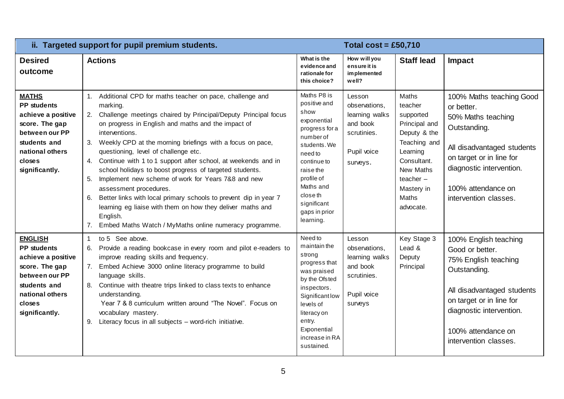|                                                                                                                                                               | ii. Targeted support for pupil premium students.                                                                                                                                                                                                                                                                                                                                                                                                                                                                                                                                                                                                                                                                                                                              |                                                                                                                                                                                                                              | Total $cost = £50,710$                                                                          |                                                                                                                                                                                         |                                                                                                                                                                                                                       |
|---------------------------------------------------------------------------------------------------------------------------------------------------------------|-------------------------------------------------------------------------------------------------------------------------------------------------------------------------------------------------------------------------------------------------------------------------------------------------------------------------------------------------------------------------------------------------------------------------------------------------------------------------------------------------------------------------------------------------------------------------------------------------------------------------------------------------------------------------------------------------------------------------------------------------------------------------------|------------------------------------------------------------------------------------------------------------------------------------------------------------------------------------------------------------------------------|-------------------------------------------------------------------------------------------------|-----------------------------------------------------------------------------------------------------------------------------------------------------------------------------------------|-----------------------------------------------------------------------------------------------------------------------------------------------------------------------------------------------------------------------|
| <b>Desired</b><br>outcome                                                                                                                                     | <b>Actions</b>                                                                                                                                                                                                                                                                                                                                                                                                                                                                                                                                                                                                                                                                                                                                                                | What is the<br>evidence and<br>rationale for<br>this choice?                                                                                                                                                                 | How will you<br>ensure it is<br>im plemented<br>well?                                           | <b>Staff lead</b>                                                                                                                                                                       | Impact                                                                                                                                                                                                                |
| <b>MATHS</b><br><b>PP students</b><br>achieve a positive<br>score. The gap<br>between our PP<br>students and<br>national others<br>closes<br>significantly.   | 1. Additional CPD for maths teacher on pace, challenge and<br>marking.<br>Challenge meetings chaired by Principal/Deputy Principal focus<br>2.<br>on progress in English and maths and the impact of<br>interventions.<br>Weekly CPD at the morning briefings with a focus on pace,<br>3.<br>questioning, level of challenge etc.<br>Continue with 1 to 1 support after school, at weekends and in<br>4.<br>school holidays to boost progress of targeted students.<br>Implement new scheme of work for Years 7&8 and new<br>5.<br>assessment procedures.<br>Better links with local primary schools to prevent dip in year 7<br>6.<br>learning eg liaise with them on how they deliver maths and<br>English.<br>7.<br>Embed Maths Watch / MyMaths online numeracy programme. | Maths P8 is<br>positive and<br>show<br>exponential<br>progress for a<br>number of<br>students. We<br>need to<br>continue to<br>raise the<br>profile of<br>Maths and<br>close th<br>significant<br>gaps in prior<br>learning. | Lesson<br>observations,<br>learning walks<br>and book<br>scrutinies.<br>Pupil voice<br>surveys. | <b>Maths</b><br>teacher<br>supported<br>Principal and<br>Deputy & the<br>Teaching and<br>Learning<br>Consultant.<br>New Maths<br>$teacher -$<br>Mastery in<br><b>Maths</b><br>advocate. | 100% Maths teaching Good<br>or better.<br>50% Maths teaching<br>Outstanding.<br>All disadvantaged students<br>on target or in line for<br>diagnostic intervention.<br>100% attendance on<br>intervention classes.     |
| <b>ENGLISH</b><br><b>PP</b> students<br>achieve a positive<br>score. The gap<br>between our PP<br>students and<br>national others<br>closes<br>significantly. | to 5 See above.<br>$\mathbf{1}$<br>Provide a reading bookcase in every room and pilot e-readers to<br>6.<br>improve reading skills and frequency.<br>7. Embed Achieve 3000 online literacy programme to build<br>language skills.<br>Continue with theatre trips linked to class texts to enhance<br>understanding.<br>Year 7 & 8 curriculum written around "The Novel". Focus on<br>vocabulary mastery.<br>Literacy focus in all subjects - word-rich initiative.<br>9.                                                                                                                                                                                                                                                                                                      | Need to<br>maintain the<br>strong<br>progress that<br>was praised<br>by the Ofsted<br>inspectors.<br>Significant low<br>levels of<br>literacy on<br>entry.<br>Exponential<br>increase in RA<br>sustained.                    | Lesson<br>observations,<br>learning walks<br>and book<br>scrutinies.<br>Pupil voice<br>surveys  | Key Stage 3<br>Lead &<br>Deputy<br>Principal                                                                                                                                            | 100% English teaching<br>Good or better.<br>75% English teaching<br>Outstanding.<br>All disadvantaged students<br>on target or in line for<br>diagnostic intervention.<br>100% attendance on<br>intervention classes. |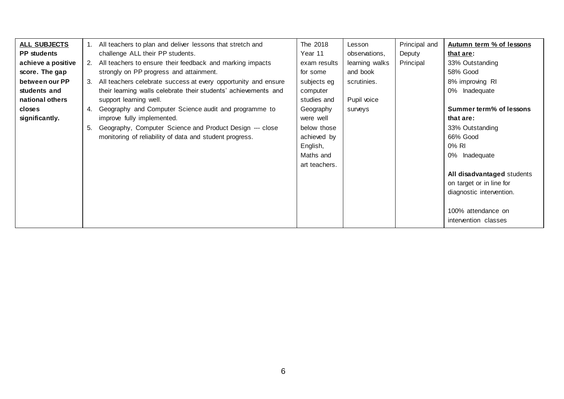| <b>ALL SUBJECTS</b> |    | All teachers to plan and deliver lessons that stretch and       | The 2018      | Lesson         | Principal and | Autumn term % of lessons   |
|---------------------|----|-----------------------------------------------------------------|---------------|----------------|---------------|----------------------------|
| <b>PP</b> students  |    | challenge ALL their PP students.                                | Year 11       | observations,  | Deputy        | that are:                  |
| achieve a positive  | 2. | All teachers to ensure their feedback and marking impacts       | exam results  | learning walks | Principal     | 33% Outstanding            |
| score. The gap      |    | strongly on PP progress and attainment.                         | for some      | and book       |               | 58% Good                   |
| between our PP      |    | All teachers celebrate success at every opportunity and ensure  | subjects eg   | scrutinies.    |               | 8% improving RI            |
| students and        |    | their learning walls celebrate their students' achievements and | computer      |                |               | 0% Inadequate              |
| national others     |    | support learning well.                                          | studies and   | Pupil voice    |               |                            |
| closes              | 4. | Geography and Computer Science audit and programme to           | Geography     | surveys        |               | Summer term% of lessons    |
| significantly.      |    | improve fully implemented.                                      | were well     |                |               | that are:                  |
|                     | 5. | Geography, Computer Science and Product Design --- close        | below those   |                |               | 33% Outstanding            |
|                     |    | monitoring of reliability of data and student progress.         | achieved by   |                |               | 66% Good                   |
|                     |    |                                                                 | English,      |                |               | 0% RI                      |
|                     |    |                                                                 | Maths and     |                |               | 0% Inadequate              |
|                     |    |                                                                 | art teachers. |                |               |                            |
|                     |    |                                                                 |               |                |               | All disadvantaged students |
|                     |    |                                                                 |               |                |               | on target or in line for   |
|                     |    |                                                                 |               |                |               | diagnostic intervention.   |
|                     |    |                                                                 |               |                |               |                            |
|                     |    |                                                                 |               |                |               | 100% attendance on         |
|                     |    |                                                                 |               |                |               | intervention classes       |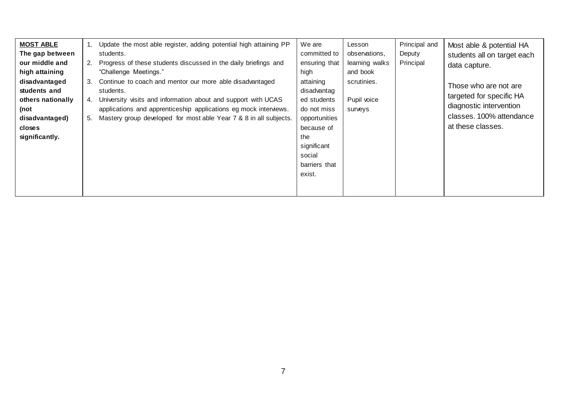| <b>MOST ABLE</b><br>The gap between<br>our middle and<br>high attaining<br>disadvantaged<br>students and<br>others nationally<br>(not<br>disadvantaged)<br>closes<br>significantly. | Update the most able register, adding potential high attaining PP<br>students.<br>Progress of these students discussed in the daily briefings and<br>2.<br>"Challenge Meetings."<br>3.<br>Continue to coach and mentor our more able disadvantaged<br>students.<br>University visits and information about and support with UCAS<br>4.<br>applications and apprenticeship applications eg mock interviews.<br>Mastery group developed for most able Year 7 & 8 in all subjects.<br>5. | We are<br>committed to<br>ensuring that<br>high<br>attaining<br>disadvantag<br>ed students<br>do not miss<br>opportunities<br>because of<br>the<br>significant<br>social<br>barriers that<br>exist. | Lesson<br>observations,<br>learning walks<br>and book<br>scrutinies.<br>Pupil voice<br>surveys | Principal and<br>Deputy<br>Principal | Most able & potential HA<br>students all on target each<br>data capture.<br>Those who are not are<br>targeted for specific HA<br>diagnostic intervention<br>classes. 100% attendance<br>at these classes. |
|-------------------------------------------------------------------------------------------------------------------------------------------------------------------------------------|---------------------------------------------------------------------------------------------------------------------------------------------------------------------------------------------------------------------------------------------------------------------------------------------------------------------------------------------------------------------------------------------------------------------------------------------------------------------------------------|-----------------------------------------------------------------------------------------------------------------------------------------------------------------------------------------------------|------------------------------------------------------------------------------------------------|--------------------------------------|-----------------------------------------------------------------------------------------------------------------------------------------------------------------------------------------------------------|
|-------------------------------------------------------------------------------------------------------------------------------------------------------------------------------------|---------------------------------------------------------------------------------------------------------------------------------------------------------------------------------------------------------------------------------------------------------------------------------------------------------------------------------------------------------------------------------------------------------------------------------------------------------------------------------------|-----------------------------------------------------------------------------------------------------------------------------------------------------------------------------------------------------|------------------------------------------------------------------------------------------------|--------------------------------------|-----------------------------------------------------------------------------------------------------------------------------------------------------------------------------------------------------------|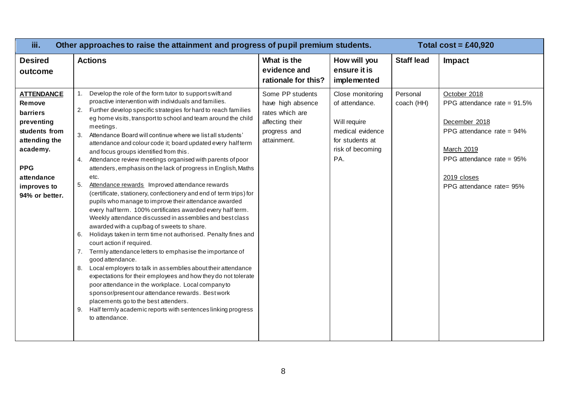| iii.                                                                                                                                                             | Other approaches to raise the attainment and progress of pupil premium students.                                                                                                                                                                                                                                                                                                                                                                                                                                                                                                                                                                                                                                                                                                                                                                                                                                                                                                                                                                                                                                                                                                                                                                                                                                                                                                                                                                                                                                                  |                                                                                                            |                                                                                                                      |                        | Total $cost = £40,920$                                                                                                                                                             |
|------------------------------------------------------------------------------------------------------------------------------------------------------------------|-----------------------------------------------------------------------------------------------------------------------------------------------------------------------------------------------------------------------------------------------------------------------------------------------------------------------------------------------------------------------------------------------------------------------------------------------------------------------------------------------------------------------------------------------------------------------------------------------------------------------------------------------------------------------------------------------------------------------------------------------------------------------------------------------------------------------------------------------------------------------------------------------------------------------------------------------------------------------------------------------------------------------------------------------------------------------------------------------------------------------------------------------------------------------------------------------------------------------------------------------------------------------------------------------------------------------------------------------------------------------------------------------------------------------------------------------------------------------------------------------------------------------------------|------------------------------------------------------------------------------------------------------------|----------------------------------------------------------------------------------------------------------------------|------------------------|------------------------------------------------------------------------------------------------------------------------------------------------------------------------------------|
| <b>Desired</b><br>outcome                                                                                                                                        | <b>Actions</b>                                                                                                                                                                                                                                                                                                                                                                                                                                                                                                                                                                                                                                                                                                                                                                                                                                                                                                                                                                                                                                                                                                                                                                                                                                                                                                                                                                                                                                                                                                                    | What is the<br>evidence and<br>rationale for this?                                                         | How will you<br>ensure it is<br>implemented                                                                          | <b>Staff lead</b>      | <b>Impact</b>                                                                                                                                                                      |
| <b>ATTENDANCE</b><br>Remove<br>barriers<br>preventing<br>students from<br>attending the<br>academy.<br><b>PPG</b><br>attendance<br>improves to<br>94% or better. | Develop the role of the form tutor to support swift and<br>1.<br>proactive intervention with individuals and families.<br>2. Further develop specific strategies for hard to reach families<br>eg home visits, transport to school and team around the child<br>meetings.<br>3. Attendance Board will continue where we list all students'<br>attendance and colour code it; board updated every half term<br>and focus groups identified from this.<br>Attendance review meetings organised with parents of poor<br>4.<br>attenders, emphasis on the lack of progress in English, Maths<br>etc.<br>Attendance rewards Improved attendance rewards<br>5.<br>(certificate, stationery, confectionery and end of term trips) for<br>pupils who manage to improve their attendance awarded<br>every halfterm. 100% certificates awarded every half term.<br>Weekly attendance discussed in assemblies and best class<br>awarded with a cup/bag of sweets to share.<br>Holidays taken in term time not authorised. Penalty fines and<br>6.<br>court action if required.<br>7. Termly attendance letters to emphasise the importance of<br>good attendance.<br>8. Local employers to talk in assemblies about their attendance<br>expectations for their employees and how they do not tolerate<br>poor attendance in the workplace. Local companyto<br>sponsor/present our attendance rewards. Best work<br>placements go to the best attenders.<br>9. Half termly academic reports with sentences linking progress<br>to attendance. | Some PP students<br>have high absence<br>rates which are<br>affecting their<br>progress and<br>attainment. | Close monitoring<br>of attendance.<br>Will require<br>medical evidence<br>for students at<br>risk of becoming<br>PA. | Personal<br>coach (HH) | October 2018<br>PPG attendance rate = $91.5\%$<br>December 2018<br>PPG attendance rate = 94%<br>March 2019<br>PPG attendance rate = 95%<br>2019 closes<br>PPG attendance rate= 95% |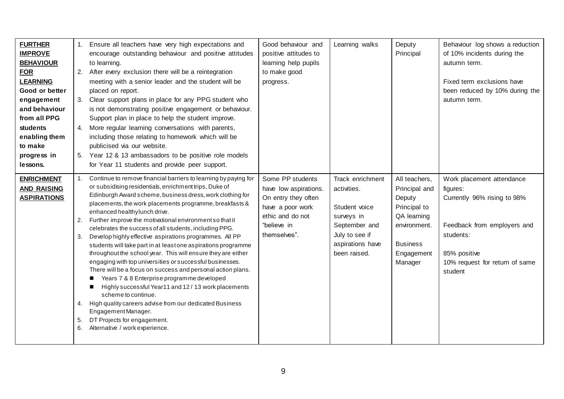| <b>FURTHER</b><br><b>IMPROVE</b><br><b>BEHAVIOUR</b><br><b>FOR</b><br><b>LEARNING</b><br>Good or better<br>engagement<br>and behaviour<br>from all PPG<br>students<br>enabling them<br>to make<br>progress in<br>lessons. |                      | 1. Ensure all teachers have very high expectations and<br>encourage outstanding behaviour and positive attitudes<br>to learning.<br>2. After every exclusion there will be a reintegration<br>meeting with a senior leader and the student will be<br>placed on report.<br>3. Clear support plans in place for any PPG student who<br>is not demonstrating positive engagement or behaviour.<br>Support plan in place to help the student improve.<br>4. More regular learning conversations with parents,<br>including those relating to homework which will be<br>publicised via our website.<br>5. Year 12 & 13 ambassadors to be positive role models<br>for Year 11 students and provide peer support.                                                                                                                                                                                                                                                                                                         | Good behaviour and<br>positive attitudes to<br>learning help pupils<br>to make good<br>progress.                                        | Learning walks                                                                                                                        | Deputy<br>Principal                                                                                                                 | Behaviour log shows a reduction<br>of 10% incidents during the<br>autumn term.<br>Fixed term exclusions have<br>been reduced by 10% during the<br>autumn term.                |
|---------------------------------------------------------------------------------------------------------------------------------------------------------------------------------------------------------------------------|----------------------|---------------------------------------------------------------------------------------------------------------------------------------------------------------------------------------------------------------------------------------------------------------------------------------------------------------------------------------------------------------------------------------------------------------------------------------------------------------------------------------------------------------------------------------------------------------------------------------------------------------------------------------------------------------------------------------------------------------------------------------------------------------------------------------------------------------------------------------------------------------------------------------------------------------------------------------------------------------------------------------------------------------------|-----------------------------------------------------------------------------------------------------------------------------------------|---------------------------------------------------------------------------------------------------------------------------------------|-------------------------------------------------------------------------------------------------------------------------------------|-------------------------------------------------------------------------------------------------------------------------------------------------------------------------------|
| <b>ENRICHMENT</b><br><b>AND RAISING</b><br><b>ASPIRATIONS</b>                                                                                                                                                             | 2.<br>3.<br>5.<br>6. | Continue to remove financial barriers to learning by paying for<br>or subsidising residentials, enrichment trips, Duke of<br>Edinburgh Award scheme, business dress, work clothing for<br>placements, the work placements programme, breakfasts &<br>enhanced healthylunch drive.<br>Further improve the motivational environment so that it<br>celebrates the success of all students, including PPG.<br>Develop highly effective aspirations programmes. All PP<br>students will take part in at least one aspirations programme<br>throughout the school year. This will ensure they are either<br>engaging with top universities or successful businesses.<br>There will be a focus on success and personal action plans.<br>Years 7 & 8 Enterprise programme developed<br>ш<br>Highly successful Year11 and 12/13 work placements<br>scheme to continue.<br>4. High quality careers advise from our dedicated Business<br>Engagement Manager.<br>DT Projects for engagement.<br>Alternative / work experience. | Some PP students<br>have low aspirations.<br>On entry they often<br>have a poor work<br>ethic and do not<br>"believe in<br>themselves". | Track enrichment<br>activities.<br>Student voice<br>surveys in<br>September and<br>July to see if<br>aspirations have<br>been raised. | All teachers,<br>Principal and<br>Deputy<br>Principal to<br>QA learning<br>environment.<br><b>Business</b><br>Engagement<br>Manager | Work placement attendance<br>figures:<br>Currently 96% rising to 98%<br>Feedback from employers and<br>students:<br>85% positive<br>10% request for return of same<br>student |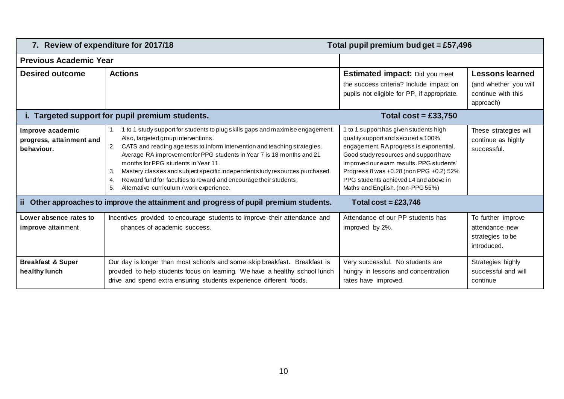|                                                            | 7. Review of expenditure for 2017/18<br>Total pupil premium bud get = £57,496                                                                                                                                                                                                                                                                                                                                                                                                                                                                   |                                                                                                                                                                                                                                                                                                                                      |                                                                                    |  |  |  |
|------------------------------------------------------------|-------------------------------------------------------------------------------------------------------------------------------------------------------------------------------------------------------------------------------------------------------------------------------------------------------------------------------------------------------------------------------------------------------------------------------------------------------------------------------------------------------------------------------------------------|--------------------------------------------------------------------------------------------------------------------------------------------------------------------------------------------------------------------------------------------------------------------------------------------------------------------------------------|------------------------------------------------------------------------------------|--|--|--|
| <b>Previous Academic Year</b>                              |                                                                                                                                                                                                                                                                                                                                                                                                                                                                                                                                                 |                                                                                                                                                                                                                                                                                                                                      |                                                                                    |  |  |  |
| <b>Desired outcome</b>                                     | <b>Actions</b>                                                                                                                                                                                                                                                                                                                                                                                                                                                                                                                                  | <b>Estimated impact:</b> Did you meet<br>the success criteria? Include impact on<br>pupils not eligible for PP, if appropriate.                                                                                                                                                                                                      | <b>Lessons learned</b><br>(and whether you will<br>continue with this<br>approach) |  |  |  |
|                                                            | i. Targeted support for pupil premium students.                                                                                                                                                                                                                                                                                                                                                                                                                                                                                                 | Total $cost = £33,750$                                                                                                                                                                                                                                                                                                               |                                                                                    |  |  |  |
| Improve academic<br>progress, attainment and<br>behaviour. | 1. 1 to 1 study support for students to plug skills gaps and maximise engagement.<br>Also, targeted group interventions.<br>CATS and reading age tests to inform intervention and teaching strategies.<br>2.<br>Average RA improvement for PPG students in Year 7 is 18 months and 21<br>months for PPG students in Year 11.<br>Mastery classes and subject specific independent study resources purchased.<br>3.<br>Reward fund for faculties to reward and encourage their students.<br>4.<br>5.<br>Alternative curriculum / work experience. | 1 to 1 support has given students high<br>quality support and secured a 100%<br>engagement. RA progress is exponential.<br>Good study resources and support have<br>improved our exam results. PPG students'<br>Progress 8 was +0.28 (non PPG +0.2) 52%<br>PPG students achieved L4 and above in<br>Maths and English. (non-PPG 55%) | These strategies will<br>continue as highly<br>successful.                         |  |  |  |
|                                                            | ii Other approaches to improve the attainment and progress of pupil premium students.                                                                                                                                                                                                                                                                                                                                                                                                                                                           | Total cost = £23,746                                                                                                                                                                                                                                                                                                                 |                                                                                    |  |  |  |
| Lower absence rates to<br><b>improve</b> attainment        | Incentives provided to encourage students to improve their attendance and<br>chances of academic success.                                                                                                                                                                                                                                                                                                                                                                                                                                       | Attendance of our PP students has<br>improved by 2%.                                                                                                                                                                                                                                                                                 | To further improve<br>attendance new<br>strategies to be<br>introduced.            |  |  |  |
| <b>Breakfast &amp; Super</b><br>healthy lunch              | Our day is longer than most schools and some skip breakfast. Breakfast is<br>provided to help students focus on learning. We have a healthy school lunch<br>drive and spend extra ensuring students experience different foods.                                                                                                                                                                                                                                                                                                                 | Very successful. No students are<br>hungry in lessons and concentration<br>rates have improved.                                                                                                                                                                                                                                      | Strategies highly<br>successful and will<br>continue                               |  |  |  |